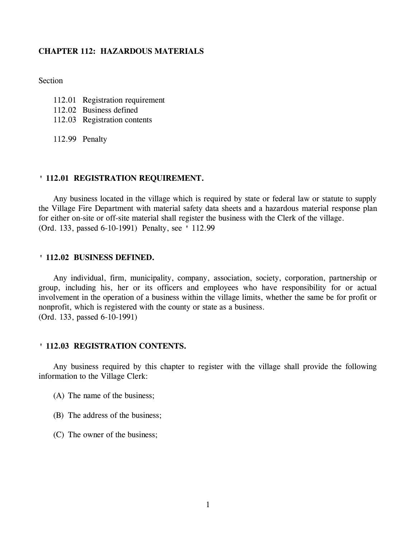# **CHAPTER 112: HAZARDOUS MATERIALS**

**Section** 

- 112.01 Registration requirement
- 112.02 Business defined
- 112.03 Registration contents

112.99 Penalty

### **' 112.01 REGISTRATION REQUIREMENT.**

Any business located in the village which is required by state or federal law or statute to supply the Village Fire Department with material safety data sheets and a hazardous material response plan for either on-site or off-site material shall register the business with the Clerk of the village. (Ord. 133, passed 6-10-1991) Penalty, see ' 112.99

## **' 112.02 BUSINESS DEFINED.**

Any individual, firm, municipality, company, association, society, corporation, partnership or group, including his, her or its officers and employees who have responsibility for or actual involvement in the operation of a business within the village limits, whether the same be for profit or nonprofit, which is registered with the county or state as a business. (Ord. 133, passed 6-10-1991)

## **' 112.03 REGISTRATION CONTENTS.**

Any business required by this chapter to register with the village shall provide the following information to the Village Clerk:

- (A) The name of the business;
- (B) The address of the business;
- (C) The owner of the business;